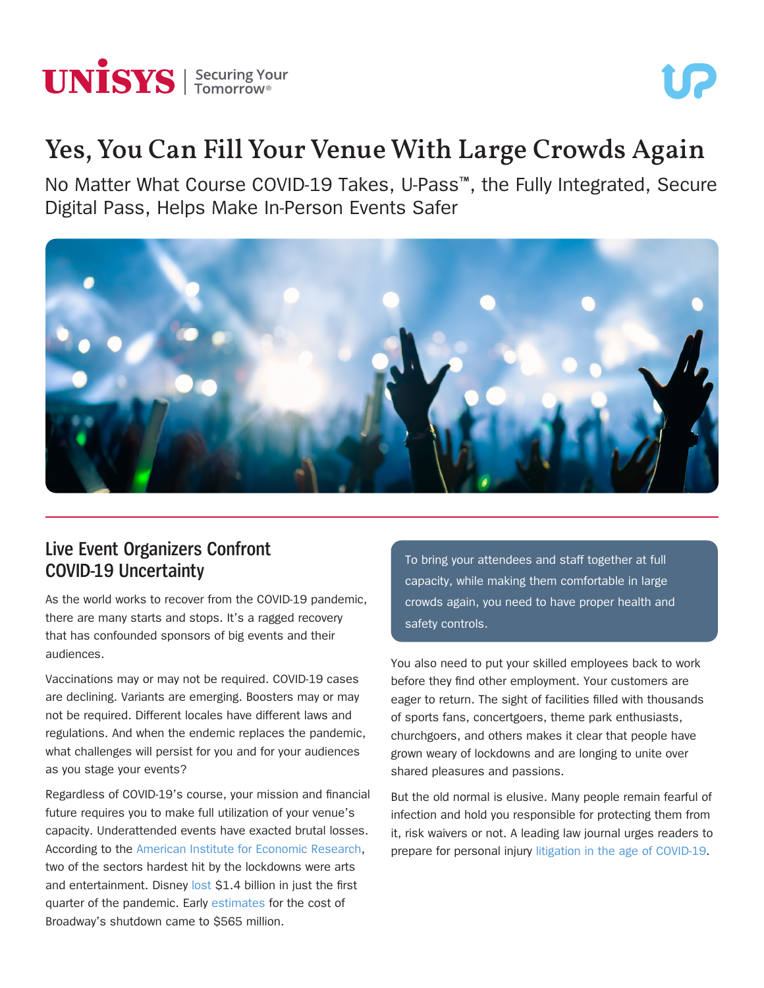

# UP.

# Yes, You Can Fill Your Venue With Large Crowds Again

No Matter What Course COVID-19 Takes, U-Pass™, the Fully Integrated, Secure Digital Pass, Helps Make In-Person Events Safer



## **Live Event Organizers Confront COVID-19 Uncertainty**

As the world works to recover from the COVID-19 pandemic, there are many starts and stops. It's a ragged recovery that has confounded sponsors of big events and their audiences.

Vaccinations may or may not be required. COVID-19 cases are declining. Variants are emerging. Boosters may or may not be required. Different locales have different laws and regulations. And when the endemic replaces the pandemic, what challenges will persist for you and for your audiences as you stage your events?

Regardless of COVID-19's course, your mission and financial future requires you to make full utilization of your venue's capacity. Underattended events have exacted brutal losses. According to the [American Institute for Economic Research,](https://www.aier.org/article/the-devastating-economic-impact-of-covid-19-shutdowns/) two of the sectors hardest hit by the lockdowns were arts and entertainment. Disney [lost](https://www.msn.com/en-us/money/companies/disney-lost-dollar14-billion-due-to-coronavirus-last-quarter/ar-BB13DTz0) \$1.4 billion in just the first quarter of the pandemic. Early [estimates](https://www.thewrap.com/broadway-coronavirus-shutdown-cost-565-million-lost-revenues-ticket-sales/) for the cost of Broadway's shutdown came to \$565 million.

To bring your attendees and staff together at full capacity, while making them comfortable in large crowds again, you need to have proper health and safety controls.

You also need to put your skilled employees back to work before they find other employment. Your customers are eager to return. The sight of facilities filled with thousands of sports fans, concertgoers, theme park enthusiasts, churchgoers, and others makes it clear that people have grown weary of lockdowns and are longing to unite over shared pleasures and passions.

But the old normal is elusive. Many people remain fearful of infection and hold you responsible for protecting them from it, risk waivers or not. A leading law journal urges readers to prepare for personal injury [litigation in the age of COVID-19](https://www.law360.com/articles/1260924/prepare-for-personal-injury-litigation-in-the-age-of-covid-19).